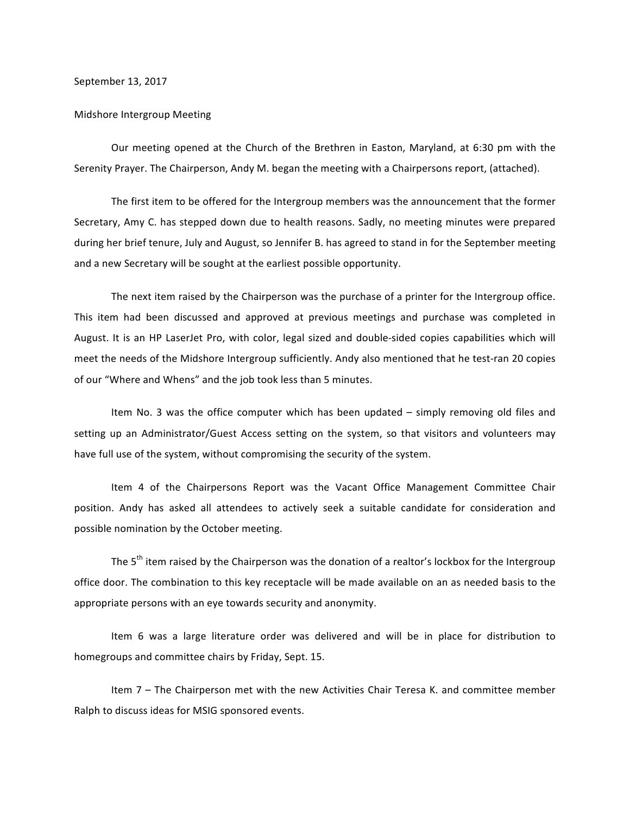September 13, 2017

## Midshore Intergroup Meeting

Our meeting opened at the Church of the Brethren in Easton, Maryland, at 6:30 pm with the Serenity Prayer. The Chairperson, Andy M. began the meeting with a Chairpersons report, (attached).

The first item to be offered for the Intergroup members was the announcement that the former Secretary, Amy C. has stepped down due to health reasons. Sadly, no meeting minutes were prepared during her brief tenure, July and August, so Jennifer B. has agreed to stand in for the September meeting and a new Secretary will be sought at the earliest possible opportunity.

The next item raised by the Chairperson was the purchase of a printer for the Intergroup office. This item had been discussed and approved at previous meetings and purchase was completed in August. It is an HP LaserJet Pro, with color, legal sized and double-sided copies capabilities which will meet the needs of the Midshore Intergroup sufficiently. Andy also mentioned that he test-ran 20 copies of our "Where and Whens" and the job took less than 5 minutes.

Item No. 3 was the office computer which has been updated – simply removing old files and setting up an Administrator/Guest Access setting on the system, so that visitors and volunteers may have full use of the system, without compromising the security of the system.

Item 4 of the Chairpersons Report was the Vacant Office Management Committee Chair position. Andy has asked all attendees to actively seek a suitable candidate for consideration and possible nomination by the October meeting.

The  $5<sup>th</sup>$  item raised by the Chairperson was the donation of a realtor's lockbox for the Intergroup office door. The combination to this key receptacle will be made available on an as needed basis to the appropriate persons with an eye towards security and anonymity.

Item 6 was a large literature order was delivered and will be in place for distribution to homegroups and committee chairs by Friday, Sept. 15.

Item 7 - The Chairperson met with the new Activities Chair Teresa K. and committee member Ralph to discuss ideas for MSIG sponsored events.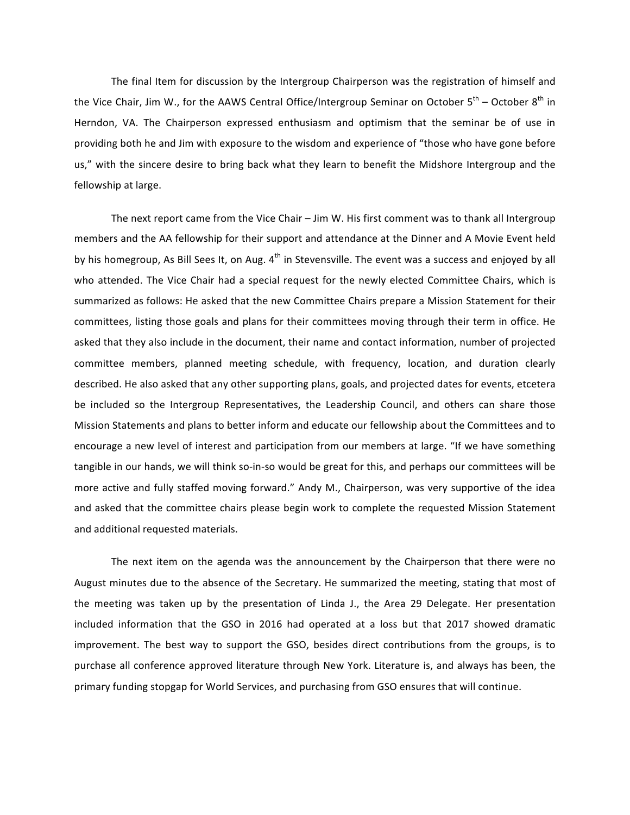The final Item for discussion by the Intergroup Chairperson was the registration of himself and the Vice Chair, Jim W., for the AAWS Central Office/Intergroup Seminar on October  $5^{th}$  – October  $8^{th}$  in Herndon, VA. The Chairperson expressed enthusiasm and optimism that the seminar be of use in providing both he and Jim with exposure to the wisdom and experience of "those who have gone before us," with the sincere desire to bring back what they learn to benefit the Midshore Intergroup and the fellowship at large.

The next report came from the Vice Chair – Jim W. His first comment was to thank all Intergroup members and the AA fellowship for their support and attendance at the Dinner and A Movie Event held by his homegroup, As Bill Sees It, on Aug.  $4<sup>th</sup>$  in Stevensville. The event was a success and enjoyed by all who attended. The Vice Chair had a special request for the newly elected Committee Chairs, which is summarized as follows: He asked that the new Committee Chairs prepare a Mission Statement for their committees, listing those goals and plans for their committees moving through their term in office. He asked that they also include in the document, their name and contact information, number of projected committee members, planned meeting schedule, with frequency, location, and duration clearly described. He also asked that any other supporting plans, goals, and projected dates for events, etcetera be included so the Intergroup Representatives, the Leadership Council, and others can share those Mission Statements and plans to better inform and educate our fellowship about the Committees and to encourage a new level of interest and participation from our members at large. "If we have something tangible in our hands, we will think so-in-so would be great for this, and perhaps our committees will be more active and fully staffed moving forward." Andy M., Chairperson, was very supportive of the idea and asked that the committee chairs please begin work to complete the requested Mission Statement and additional requested materials.

The next item on the agenda was the announcement by the Chairperson that there were no August minutes due to the absence of the Secretary. He summarized the meeting, stating that most of the meeting was taken up by the presentation of Linda J., the Area 29 Delegate. Her presentation included information that the GSO in 2016 had operated at a loss but that 2017 showed dramatic improvement. The best way to support the GSO, besides direct contributions from the groups, is to purchase all conference approved literature through New York. Literature is, and always has been, the primary funding stopgap for World Services, and purchasing from GSO ensures that will continue.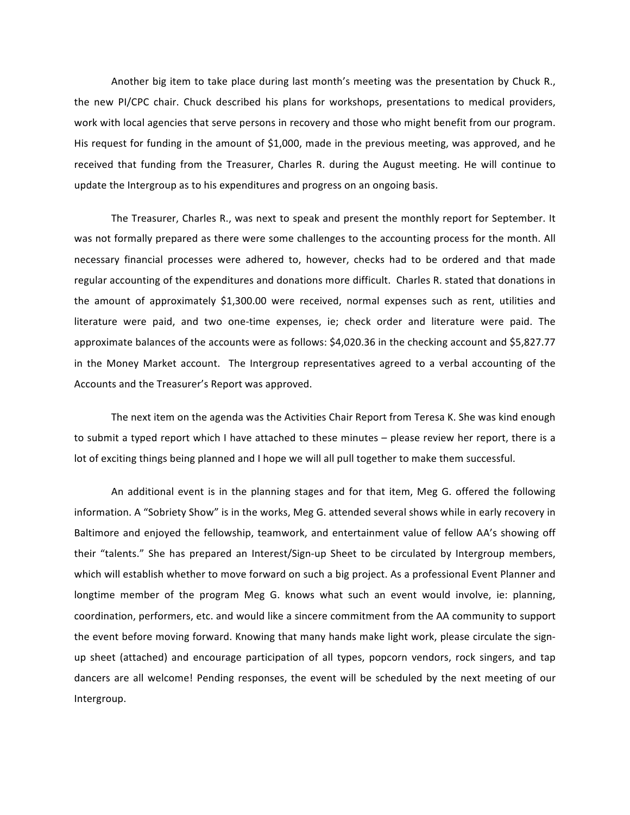Another big item to take place during last month's meeting was the presentation by Chuck R., the new PI/CPC chair. Chuck described his plans for workshops, presentations to medical providers, work with local agencies that serve persons in recovery and those who might benefit from our program. His request for funding in the amount of \$1,000, made in the previous meeting, was approved, and he received that funding from the Treasurer, Charles R. during the August meeting. He will continue to update the Intergroup as to his expenditures and progress on an ongoing basis.

The Treasurer, Charles R., was next to speak and present the monthly report for September. It was not formally prepared as there were some challenges to the accounting process for the month. All necessary financial processes were adhered to, however, checks had to be ordered and that made regular accounting of the expenditures and donations more difficult. Charles R. stated that donations in the amount of approximately \$1,300.00 were received, normal expenses such as rent, utilities and literature were paid, and two one-time expenses, ie; check order and literature were paid. The approximate balances of the accounts were as follows: \$4,020.36 in the checking account and \$5,827.77 in the Money Market account. The Intergroup representatives agreed to a verbal accounting of the Accounts and the Treasurer's Report was approved.

The next item on the agenda was the Activities Chair Report from Teresa K. She was kind enough to submit a typed report which I have attached to these minutes – please review her report, there is a lot of exciting things being planned and I hope we will all pull together to make them successful.

An additional event is in the planning stages and for that item, Meg G. offered the following information. A "Sobriety Show" is in the works, Meg G. attended several shows while in early recovery in Baltimore and enjoyed the fellowship, teamwork, and entertainment value of fellow AA's showing off their "talents." She has prepared an Interest/Sign-up Sheet to be circulated by Intergroup members, which will establish whether to move forward on such a big project. As a professional Event Planner and longtime member of the program Meg G. knows what such an event would involve, ie: planning, coordination, performers, etc. and would like a sincere commitment from the AA community to support the event before moving forward. Knowing that many hands make light work, please circulate the signup sheet (attached) and encourage participation of all types, popcorn vendors, rock singers, and tap dancers are all welcome! Pending responses, the event will be scheduled by the next meeting of our Intergroup.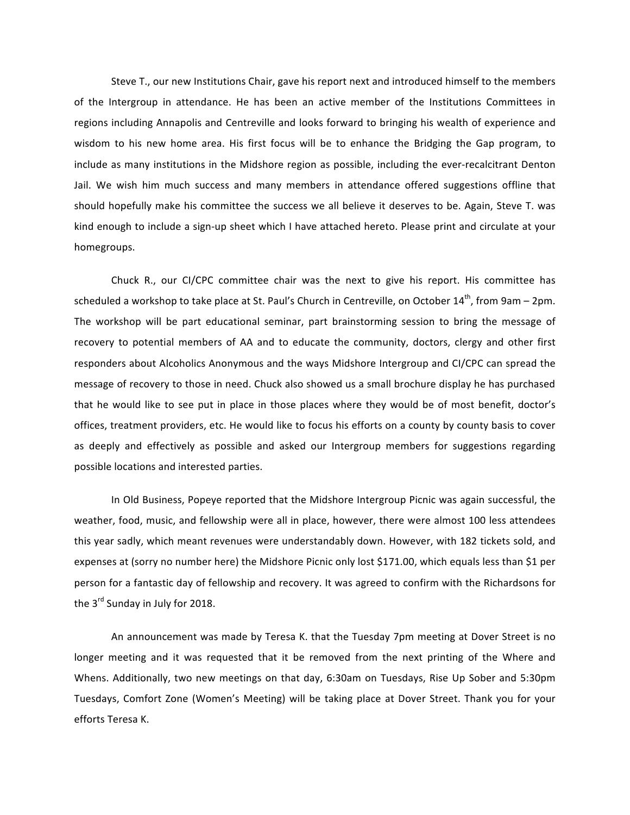Steve T., our new Institutions Chair, gave his report next and introduced himself to the members of the Intergroup in attendance. He has been an active member of the Institutions Committees in regions including Annapolis and Centreville and looks forward to bringing his wealth of experience and wisdom to his new home area. His first focus will be to enhance the Bridging the Gap program, to include as many institutions in the Midshore region as possible, including the ever-recalcitrant Denton Jail. We wish him much success and many members in attendance offered suggestions offline that should hopefully make his committee the success we all believe it deserves to be. Again, Steve T. was kind enough to include a sign-up sheet which I have attached hereto. Please print and circulate at your homegroups.

Chuck R., our CI/CPC committee chair was the next to give his report. His committee has scheduled a workshop to take place at St. Paul's Church in Centreville, on October  $14^{th}$ , from 9am – 2pm. The workshop will be part educational seminar, part brainstorming session to bring the message of recovery to potential members of AA and to educate the community, doctors, clergy and other first responders about Alcoholics Anonymous and the ways Midshore Intergroup and CI/CPC can spread the message of recovery to those in need. Chuck also showed us a small brochure display he has purchased that he would like to see put in place in those places where they would be of most benefit, doctor's offices, treatment providers, etc. He would like to focus his efforts on a county by county basis to cover as deeply and effectively as possible and asked our Intergroup members for suggestions regarding possible locations and interested parties.

In Old Business, Popeye reported that the Midshore Intergroup Picnic was again successful, the weather, food, music, and fellowship were all in place, however, there were almost 100 less attendees this year sadly, which meant revenues were understandably down. However, with 182 tickets sold, and expenses at (sorry no number here) the Midshore Picnic only lost \$171.00, which equals less than \$1 per person for a fantastic day of fellowship and recovery. It was agreed to confirm with the Richardsons for the  $3<sup>rd</sup>$  Sunday in July for 2018.

An announcement was made by Teresa K. that the Tuesday 7pm meeting at Dover Street is no longer meeting and it was requested that it be removed from the next printing of the Where and Whens. Additionally, two new meetings on that day, 6:30am on Tuesdays, Rise Up Sober and 5:30pm Tuesdays, Comfort Zone (Women's Meeting) will be taking place at Dover Street. Thank you for your efforts Teresa K.